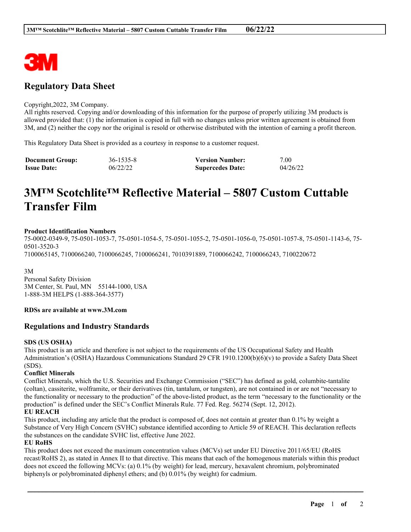

# **Regulatory Data Sheet**

#### Copyright,2022, 3M Company.

All rights reserved. Copying and/or downloading of this information for the purpose of properly utilizing 3M products is allowed provided that: (1) the information is copied in full with no changes unless prior written agreement is obtained from 3M, and (2) neither the copy nor the original is resold or otherwise distributed with the intention of earning a profit thereon.

This Regulatory Data Sheet is provided as a courtesy in response to a customer request.

| <b>Document Group:</b> | 36-1535-8 | <b>Version Number:</b>  | 7.00     |
|------------------------|-----------|-------------------------|----------|
| <b>Issue Date:</b>     | 06/22/22  | <b>Supercedes Date:</b> | 04/26/22 |

# **3M™ Scotchlite™ Reflective Material – 5807 Custom Cuttable Transfer Film**

#### **Product Identification Numbers**

75-0002-0349-9, 75-0501-1053-7, 75-0501-1054-5, 75-0501-1055-2, 75-0501-1056-0, 75-0501-1057-8, 75-0501-1143-6, 75- 0501-3520-3 7100065145, 7100066240, 7100066245, 7100066241, 7010391889, 7100066242, 7100066243, 7100220672

3M Personal Safety Division 3M Center, St. Paul, MN 55144-1000, USA 1-888-3M HELPS (1-888-364-3577)

#### **RDSs are available at www.3M.com**

# **Regulations and Industry Standards**

#### **SDS (US OSHA)**

This product is an article and therefore is not subject to the requirements of the US Occupational Safety and Health Administration's (OSHA) Hazardous Communications Standard 29 CFR 1910.1200(b)(6)(v) to provide a Safety Data Sheet (SDS).

# **Conflict Minerals**

Conflict Minerals, which the U.S. Securities and Exchange Commission ("SEC") has defined as gold, columbite-tantalite (coltan), cassiterite, wolframite, or their derivatives (tin, tantalum, or tungsten), are not contained in or are not "necessary to the functionality or necessary to the production" of the above-listed product, as the term "necessary to the functionality or the production" is defined under the SEC's Conflict Minerals Rule. 77 Fed. Reg. 56274 (Sept. 12, 2012).

# **EU REACH**

This product, including any article that the product is composed of, does not contain at greater than 0.1% by weight a Substance of Very High Concern (SVHC) substance identified according to Article 59 of REACH. This declaration reflects the substances on the candidate SVHC list, effective June 2022.

# **EU RoHS**

This product does not exceed the maximum concentration values (MCVs) set under EU Directive 2011/65/EU (RoHS recast/RoHS 2), as stated in Annex II to that directive. This means that each of the homogenous materials within this product does not exceed the following MCVs: (a) 0.1% (by weight) for lead, mercury, hexavalent chromium, polybrominated biphenyls or polybrominated diphenyl ethers; and (b) 0.01% (by weight) for cadmium.

\_\_\_\_\_\_\_\_\_\_\_\_\_\_\_\_\_\_\_\_\_\_\_\_\_\_\_\_\_\_\_\_\_\_\_\_\_\_\_\_\_\_\_\_\_\_\_\_\_\_\_\_\_\_\_\_\_\_\_\_\_\_\_\_\_\_\_\_\_\_\_\_\_\_\_\_\_\_\_\_\_\_\_\_\_\_\_\_\_\_